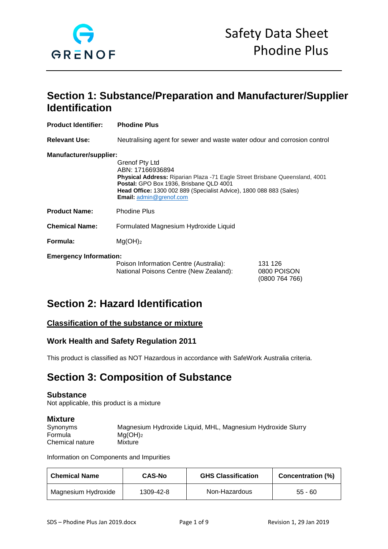

# **Section 1: Substance/Preparation and Manufacturer/Supplier Identification**

| <b>Product Identifier:</b>    | <b>Phodine Plus</b>                                                                                                                                                                                                                                                   |                                          |
|-------------------------------|-----------------------------------------------------------------------------------------------------------------------------------------------------------------------------------------------------------------------------------------------------------------------|------------------------------------------|
| <b>Relevant Use:</b>          | Neutralising agent for sewer and waste water odour and corrosion control                                                                                                                                                                                              |                                          |
| Manufacturer/supplier:        | Grenof Pty Ltd<br>ABN: 17166936894<br>Physical Address: Riparian Plaza -71 Eagle Street Brisbane Queensland, 4001<br>Postal: GPO Box 1936, Brisbane QLD 4001<br><b>Head Office:</b> 1300 002 889 (Specialist Advice), 1800 088 883 (Sales)<br>Email: admin@grenof.com |                                          |
| <b>Product Name:</b>          | <b>Phodine Plus</b>                                                                                                                                                                                                                                                   |                                          |
| <b>Chemical Name:</b>         | Formulated Magnesium Hydroxide Liquid                                                                                                                                                                                                                                 |                                          |
| Formula:                      | Mg(OH) <sub>2</sub>                                                                                                                                                                                                                                                   |                                          |
| <b>Emergency Information:</b> | Poison Information Centre (Australia):<br>National Poisons Centre (New Zealand):                                                                                                                                                                                      | 131 126<br>0800 POISON<br>(0800 764 766) |

# **Section 2: Hazard Identification**

# **Classification of the substance or mixture**

## **Work Health and Safety Regulation 2011**

This product is classified as NOT Hazardous in accordance with SafeWork Australia criteria.

# **Section 3: Composition of Substance**

### **Substance**

Not applicable, this product is a mixture

### **Mixture**

| .               |                                                             |
|-----------------|-------------------------------------------------------------|
| Synonyms        | Magnesium Hydroxide Liquid, MHL, Magnesium Hydroxide Slurry |
| Formula         | $Ma(OH)_2$                                                  |
| Chemical nature | Mixture                                                     |

Information on Components and Impurities

| <b>Chemical Name</b> | <b>CAS-No</b> | <b>GHS Classification</b> | <b>Concentration (%)</b> |
|----------------------|---------------|---------------------------|--------------------------|
| Magnesium Hydroxide  | 1309-42-8     | Non-Hazardous             | $55 - 60$                |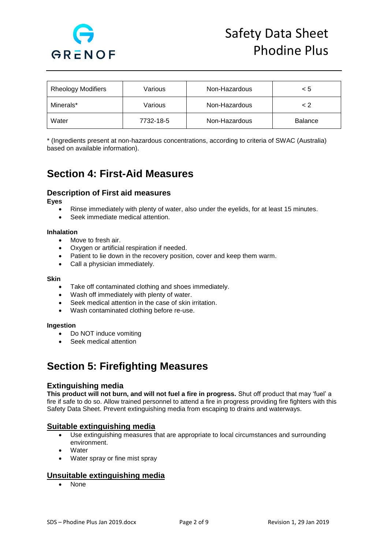

| <b>Rheology Modifiers</b> | Various   | Non-Hazardous | < 5            |
|---------------------------|-----------|---------------|----------------|
| Minerals*                 | Various   | Non-Hazardous | $\leq$ 2       |
| Water                     | 7732-18-5 | Non-Hazardous | <b>Balance</b> |

\* (Ingredients present at non-hazardous concentrations, according to criteria of SWAC (Australia) based on available information).

# **Section 4: First-Aid Measures**

## **Description of First aid measures**

**Eyes** 

- Rinse immediately with plenty of water, also under the eyelids, for at least 15 minutes.
- Seek immediate medical attention.

#### **Inhalation**

- Move to fresh air.
- Oxygen or artificial respiration if needed.
- Patient to lie down in the recovery position, cover and keep them warm.
- Call a physician immediately.

#### **Skin**

- Take off contaminated clothing and shoes immediately.
- Wash off immediately with plenty of water.
- Seek medical attention in the case of skin irritation.
- Wash contaminated clothing before re-use.

#### **Ingestion**

- Do NOT induce vomiting
- Seek medical attention

# **Section 5: Firefighting Measures**

## **Extinguishing media**

**This product will not burn, and will not fuel a fire in progress.** Shut off product that may 'fuel' a fire if safe to do so. Allow trained personnel to attend a fire in progress providing fire fighters with this Safety Data Sheet. Prevent extinguishing media from escaping to drains and waterways.

### **Suitable extinguishing media**

- Use extinguishing measures that are appropriate to local circumstances and surrounding environment.
- **Water**
- Water spray or fine mist spray

## **Unsuitable extinguishing media**

• None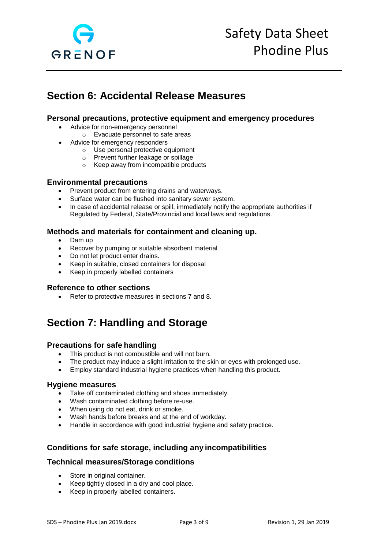

# **Section 6: Accidental Release Measures**

## **Personal precautions, protective equipment and emergency procedures**

- Advice for non-emergency personnel
	- o Evacuate personnel to safe areas
	- Advice for emergency responders
		- o Use personal protective equipment
		- o Prevent further leakage or spillage
		- o Keep away from incompatible products

## **Environmental precautions**

- Prevent product from entering drains and waterways.
- Surface water can be flushed into sanitary sewer system.
- In case of accidental release or spill, immediately notify the appropriate authorities if Regulated by Federal, State/Provincial and local laws and regulations.

## **Methods and materials for containment and cleaning up.**

- Dam up
- Recover by pumping or suitable absorbent material
- Do not let product enter drains.
- Keep in suitable, closed containers for disposal
- Keep in properly labelled containers

### **Reference to other sections**

• Refer to protective measures in sections 7 and 8.

# **Section 7: Handling and Storage**

### **Precautions for safe handling**

- This product is not combustible and will not burn.
- The product may induce a slight irritation to the skin or eyes with prolonged use.
- Employ standard industrial hygiene practices when handling this product.

### **Hygiene measures**

- Take off contaminated clothing and shoes immediately.
- Wash contaminated clothing before re-use.
- When using do not eat, drink or smoke.
- Wash hands before breaks and at the end of workday.
- Handle in accordance with good industrial hygiene and safety practice.

## **Conditions for safe storage, including any incompatibilities**

### **Technical measures/Storage conditions**

- Store in original container.
- Keep tightly closed in a dry and cool place.
- Keep in properly labelled containers.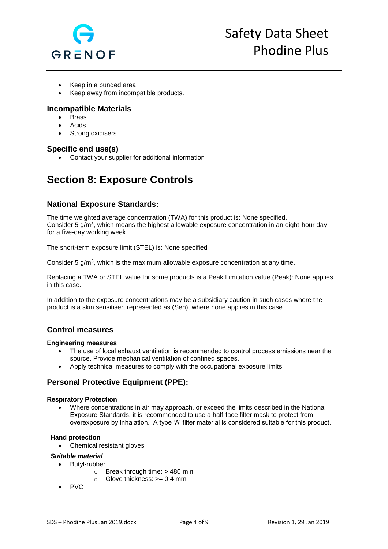

- Keep in a bunded area.
- Keep away from incompatible products.

## **Incompatible Materials**

- Brass
- **Acids**
- Strong oxidisers

## **Specific end use(s)**

• Contact your supplier for additional information

# **Section 8: Exposure Controls**

## **National Exposure Standards:**

The time weighted average concentration (TWA) for this product is: None specified. Consider 5 g/m $^3$ , which means the highest allowable exposure concentration in an eight-hour day for a five-day working week.

The short-term exposure limit (STEL) is: None specified

Consider 5 g/m<sup>3</sup>, which is the maximum allowable exposure concentration at any time.

Replacing a TWA or STEL value for some products is a Peak Limitation value (Peak): None applies in this case.

In addition to the exposure concentrations may be a subsidiary caution in such cases where the product is a skin sensitiser, represented as (Sen), where none applies in this case.

## **Control measures**

#### **Engineering measures**

- The use of local exhaust ventilation is recommended to control process emissions near the source. Provide mechanical ventilation of confined spaces.
- Apply technical measures to comply with the occupational exposure limits.

# **Personal Protective Equipment (PPE):**

#### **Respiratory Protection**

• Where concentrations in air may approach, or exceed the limits described in the National Exposure Standards, it is recommended to use a half-face filter mask to protect from overexposure by inhalation. A type 'A' filter material is considered suitable for this product.

#### **Hand protection**

• Chemical resistant gloves

#### *Suitable material*

- Butyl-rubber
	- $\circ$  Break through time: > 480 min
	- $\circ$  Glove thickness:  $> = 0.4$  mm
- PVC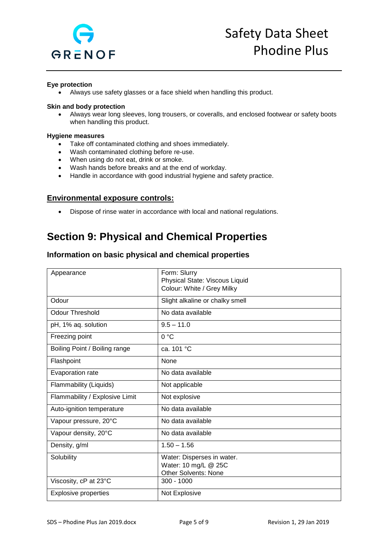

### **Eye protection**

• Always use safety glasses or a face shield when handling this product.

#### **Skin and body protection**

• Always wear long sleeves, long trousers, or coveralls, and enclosed footwear or safety boots when handling this product.

#### **Hygiene measures**

- Take off contaminated clothing and shoes immediately.
- Wash contaminated clothing before re-use.
- When using do not eat, drink or smoke.
- Wash hands before breaks and at the end of workday.
- Handle in accordance with good industrial hygiene and safety practice.

## **Environmental exposure controls:**

• Dispose of rinse water in accordance with local and national regulations.

# **Section 9: Physical and Chemical Properties**

## **Information on basic physical and chemical properties**

| Appearance                     | Form: Slurry<br>Physical State: Viscous Liquid<br>Colour: White / Grey Milky      |
|--------------------------------|-----------------------------------------------------------------------------------|
| Odour                          | Slight alkaline or chalky smell                                                   |
| <b>Odour Threshold</b>         | No data available                                                                 |
| pH, 1% aq. solution            | $9.5 - 11.0$                                                                      |
| Freezing point                 | 0 °C                                                                              |
| Boiling Point / Boiling range  | ca. 101 °C                                                                        |
| Flashpoint                     | None                                                                              |
| Evaporation rate               | No data available                                                                 |
| Flammability (Liquids)         | Not applicable                                                                    |
| Flammability / Explosive Limit | Not explosive                                                                     |
| Auto-ignition temperature      | No data available                                                                 |
| Vapour pressure, 20°C          | No data available                                                                 |
| Vapour density, 20°C           | No data available                                                                 |
| Density, g/ml                  | $1.50 - 1.56$                                                                     |
| Solubility                     | Water: Disperses in water.<br>Water: 10 mg/L @ 25C<br><b>Other Solvents: None</b> |
| Viscosity, cP at 23°C          | $300 - 1000$                                                                      |
| <b>Explosive properties</b>    | Not Explosive                                                                     |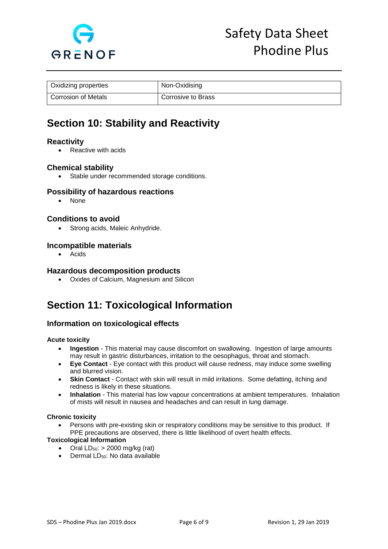

| Oxidizing properties | Non-Oxidising      |
|----------------------|--------------------|
| Corrosion of Metals  | Corrosive to Brass |

# **Section 10: Stability and Reactivity**

## **Reactivity**

• Reactive with acids

## **Chemical stability**

• Stable under recommended storage conditions.

## **Possibility of hazardous reactions**

• None

## **Conditions to avoid**

• Strong acids, Maleic Anhydride.

## **Incompatible materials**

• Acids

### **Hazardous decomposition products**

• Oxides of Calcium, Magnesium and Silicon

# **Section 11: Toxicological Information**

## **Information on toxicological effects**

### **Acute toxicity**

- **Ingestion** This material may cause discomfort on swallowing. Ingestion of large amounts may result in gastric disturbances, irritation to the oesophagus, throat and stomach.
- **Eye Contact**  Eye contact with this product will cause redness, may induce some swelling and blurred vision.
- **Skin Contact** Contact with skin will result in mild irritations. Some defatting, itching and redness is likely in these situations.
- **Inhalation** This material has low vapour concentrations at ambient temperatures. Inhalation of mists will result in nausea and headaches and can result in lung damage.

#### **Chronic toxicity**

• Persons with pre-existing skin or respiratory conditions may be sensitive to this product. If PPE precautions are observed, there is little likelihood of overt health effects.

### **Toxicological Information**

- Oral  $LD_{50}$ : > 2000 mg/kg (rat)
- Dermal LD<sub>50</sub>: No data available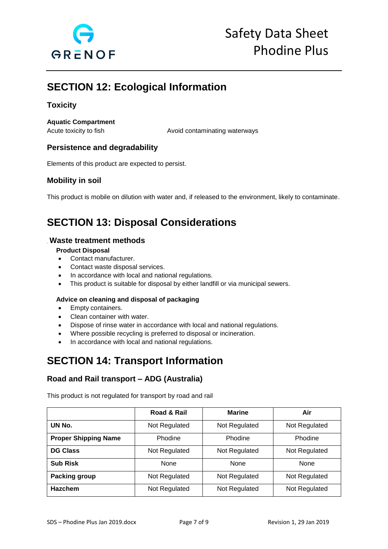

# **SECTION 12: Ecological Information**

# **Toxicity**

**Aquatic Compartment** 

Acute toxicity to fish Avoid contaminating waterways

# **Persistence and degradability**

Elements of this product are expected to persist.

## **Mobility in soil**

This product is mobile on dilution with water and, if released to the environment, likely to contaminate.

# **SECTION 13: Disposal Considerations**

## **Waste treatment methods**

### **Product Disposal**

- Contact manufacturer.
- Contact waste disposal services.
- In accordance with local and national regulations.
- This product is suitable for disposal by either landfill or via municipal sewers.

### **Advice on cleaning and disposal of packaging**

- Empty containers.
- Clean container with water.
- Dispose of rinse water in accordance with local and national regulations.
- Where possible recycling is preferred to disposal or incineration.
- In accordance with local and national regulations.

# **SECTION 14: Transport Information**

# **Road and Rail transport – ADG (Australia)**

This product is not regulated for transport by road and rail

|                             | Road & Rail   | <b>Marine</b> | Air           |
|-----------------------------|---------------|---------------|---------------|
| UN No.                      | Not Regulated | Not Regulated | Not Regulated |
| <b>Proper Shipping Name</b> | Phodine       | Phodine       | Phodine       |
| <b>DG Class</b>             | Not Regulated | Not Regulated | Not Regulated |
| <b>Sub Risk</b>             | None          | None          | None          |
| <b>Packing group</b>        | Not Regulated | Not Regulated | Not Regulated |
| <b>Hazchem</b>              | Not Regulated | Not Regulated | Not Regulated |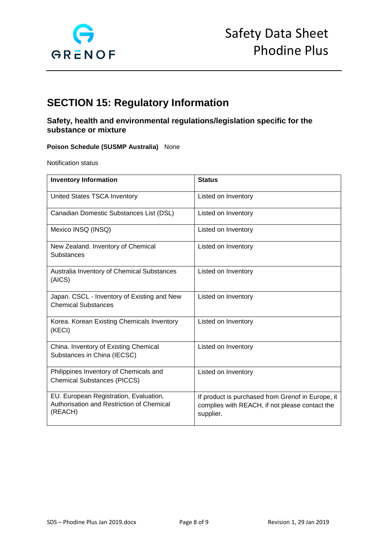

# **SECTION 15: Regulatory Information**

# **Safety, health and environmental regulations/legislation specific for the substance or mixture**

### **Poison Schedule (SUSMP Australia)** None

Notification status

| <b>Inventory Information</b>                                                                   | <b>Status</b>                                                                                                    |
|------------------------------------------------------------------------------------------------|------------------------------------------------------------------------------------------------------------------|
| United States TSCA Inventory                                                                   | Listed on Inventory                                                                                              |
| Canadian Domestic Substances List (DSL)                                                        | Listed on Inventory                                                                                              |
| Mexico INSQ (INSQ)                                                                             | Listed on Inventory                                                                                              |
| New Zealand. Inventory of Chemical<br>Substances                                               | Listed on Inventory                                                                                              |
| Australia Inventory of Chemical Substances<br>(AICS)                                           | Listed on Inventory                                                                                              |
| Japan. CSCL - Inventory of Existing and New<br><b>Chemical Substances</b>                      | Listed on Inventory                                                                                              |
| Korea. Korean Existing Chemicals Inventory<br>(KECI)                                           | Listed on Inventory                                                                                              |
| China. Inventory of Existing Chemical<br>Substances in China (IECSC)                           | Listed on Inventory                                                                                              |
| Philippines Inventory of Chemicals and<br><b>Chemical Substances (PICCS)</b>                   | Listed on Inventory                                                                                              |
| EU. European Registration, Evaluation,<br>Authorisation and Restriction of Chemical<br>(REACH) | If product is purchased from Grenof in Europe, it<br>complies with REACH, if not please contact the<br>supplier. |